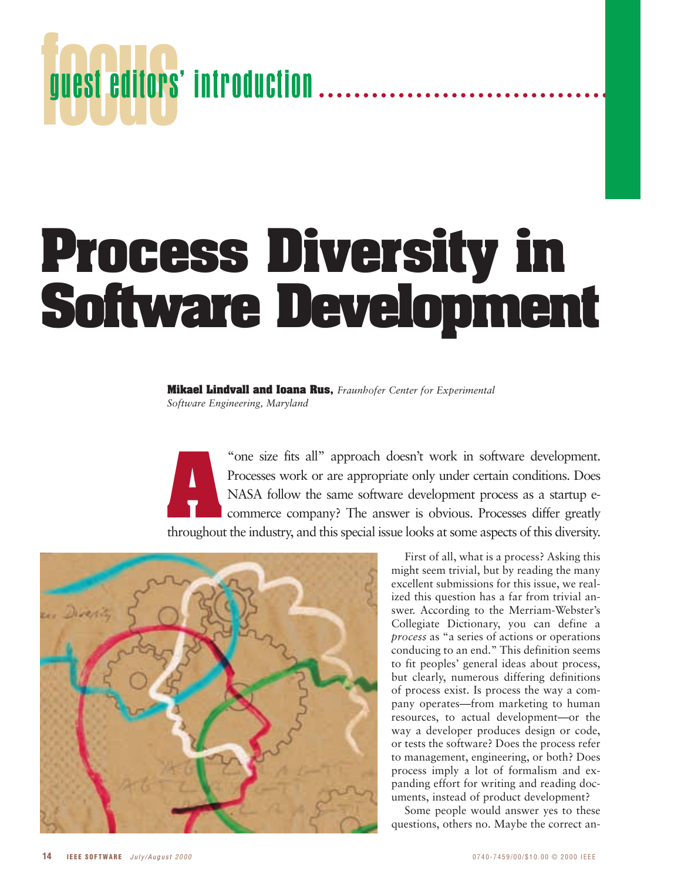# **focus** guest editors' introduction

# **Process Diversity in Software Development**

**Mikael Lindvall and Ioana Rus,** *Fraunhofer Center for Experimental Software Engineering, Maryland*

"one size fits all" approach doesn't work in software development.<br>Processes work or are appropriate only under certain conditions. Does<br>NASA follow the same software development process as a startup e-<br>commerce company? T Processes work or are appropriate only under certain conditions. Does NASA follow the same software development process as a startup ecommerce company? The answer is obvious. Processes differ greatly throughout the industry, and this special issue looks at some aspects of this diversity.



First of all, what is a process? Asking this might seem trivial, but by reading the many excellent submissions for this issue, we realized this question has a far from trivial answer. According to the Merriam-Webster's Collegiate Dictionary, you can define a *process* as "a series of actions or operations conducing to an end." This definition seems to fit peoples' general ideas about process, but clearly, numerous differing definitions of process exist. Is process the way a company operates—from marketing to human resources, to actual development—or the way a developer produces design or code, or tests the software? Does the process refer to management, engineering, or both? Does process imply a lot of formalism and expanding effort for writing and reading documents, instead of product development?

Some people would answer yes to these questions, others no. Maybe the correct an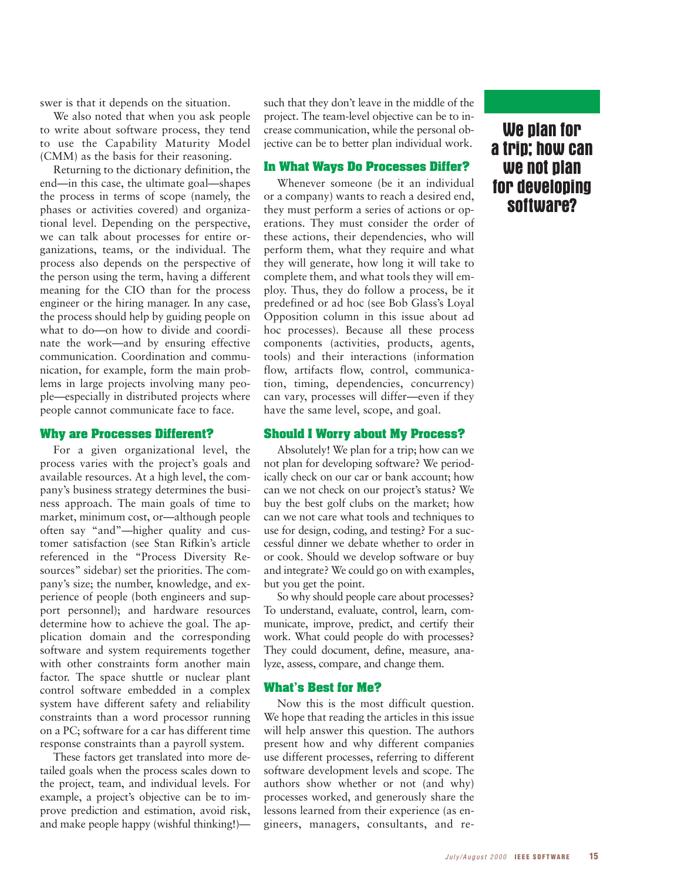swer is that it depends on the situation.

We also noted that when you ask people to write about software process, they tend to use the Capability Maturity Model (CMM) as the basis for their reasoning.

Returning to the dictionary definition, the end—in this case, the ultimate goal—shapes the process in terms of scope (namely, the phases or activities covered) and organizational level. Depending on the perspective, we can talk about processes for entire organizations, teams, or the individual. The process also depends on the perspective of the person using the term, having a different meaning for the CIO than for the process engineer or the hiring manager. In any case, the process should help by guiding people on what to do—on how to divide and coordinate the work—and by ensuring effective communication. Coordination and communication, for example, form the main problems in large projects involving many people—especially in distributed projects where people cannot communicate face to face.

#### **Why are Processes Different?**

For a given organizational level, the process varies with the project's goals and available resources. At a high level, the company's business strategy determines the business approach. The main goals of time to market, minimum cost, or—although people often say "and"—higher quality and customer satisfaction (see Stan Rifkin's article referenced in the "Process Diversity Resources" sidebar) set the priorities. The company's size; the number, knowledge, and experience of people (both engineers and support personnel); and hardware resources determine how to achieve the goal. The application domain and the corresponding software and system requirements together with other constraints form another main factor. The space shuttle or nuclear plant control software embedded in a complex system have different safety and reliability constraints than a word processor running on a PC; software for a car has different time response constraints than a payroll system.

These factors get translated into more detailed goals when the process scales down to the project, team, and individual levels. For example, a project's objective can be to improve prediction and estimation, avoid risk, and make people happy (wishful thinking!)— such that they don't leave in the middle of the project. The team-level objective can be to increase communication, while the personal objective can be to better plan individual work.

#### **In What Ways Do Processes Differ?**

Whenever someone (be it an individual or a company) wants to reach a desired end, they must perform a series of actions or operations. They must consider the order of these actions, their dependencies, who will perform them, what they require and what they will generate, how long it will take to complete them, and what tools they will employ. Thus, they do follow a process, be it predefined or ad hoc (see Bob Glass's Loyal Opposition column in this issue about ad hoc processes). Because all these process components (activities, products, agents, tools) and their interactions (information flow, artifacts flow, control, communication, timing, dependencies, concurrency) can vary, processes will differ—even if they have the same level, scope, and goal.

#### **Should I Worry about My Process?**

Absolutely! We plan for a trip; how can we not plan for developing software? We periodically check on our car or bank account; how can we not check on our project's status? We buy the best golf clubs on the market; how can we not care what tools and techniques to use for design, coding, and testing? For a successful dinner we debate whether to order in or cook. Should we develop software or buy and integrate? We could go on with examples, but you get the point.

So why should people care about processes? To understand, evaluate, control, learn, communicate, improve, predict, and certify their work. What could people do with processes? They could document, define, measure, analyze, assess, compare, and change them.

#### **What's Best for Me?**

Now this is the most difficult question. We hope that reading the articles in this issue will help answer this question. The authors present how and why different companies use different processes, referring to different software development levels and scope. The authors show whether or not (and why) processes worked, and generously share the lessons learned from their experience (as engineers, managers, consultants, and re-

**We plan for a trip; how can we not plan for developing software?**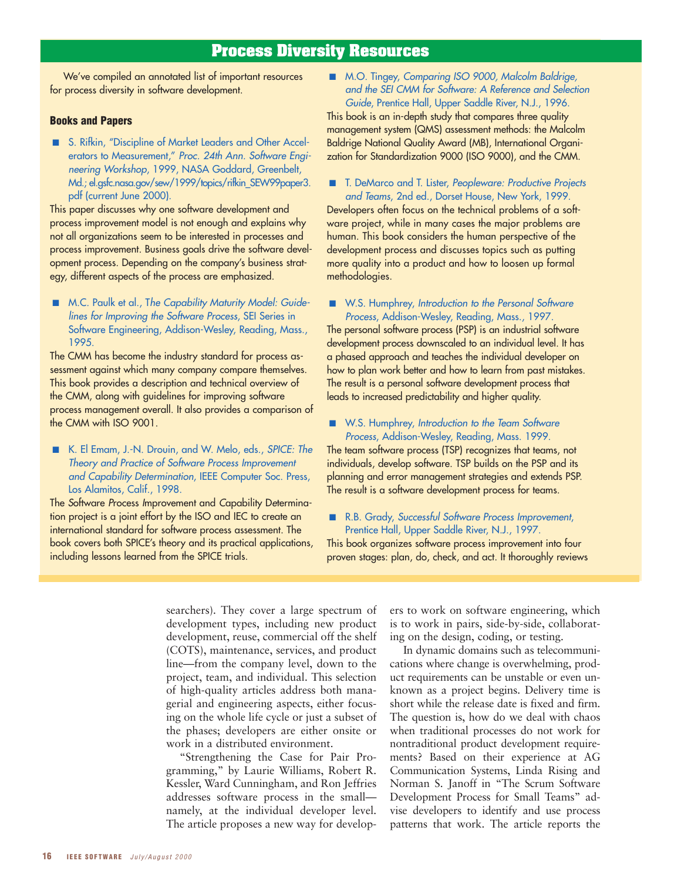## **Process Diversity Resources**

We've compiled an annotated list of important resources for process diversity in software development.

#### **Books and Papers**

■ S. Rifkin, "Discipline of Market Leaders and Other Accelerators to Measurement," *Proc. 24th Ann. Software Engineering Workshop*, 1999, NASA Goddard, Greenbelt, Md.; el.gsfc.nasa.gov/sew/1999/topics/rifkin\_SEW99paper3. pdf (current June 2000).

This paper discusses why one software development and process improvement model is not enough and explains why not all organizations seem to be interested in processes and process improvement. Business goals drive the software development process. Depending on the company's business strategy, different aspects of the process are emphasized.

M.C. Paulk et al., The Capability Maturity Model: Guide*lines for Improving the Software Process*, SEI Series in Software Engineering, Addison-Wesley, Reading, Mass., 1995.

The CMM has become the industry standard for process assessment against which many company compare themselves. This book provides a description and technical overview of the CMM, along with guidelines for improving software process management overall. It also provides a comparison of the CMM with ISO 9001.

■ K. El Emam, J.-N. Drouin, and W. Melo, eds., *SPICE: The Theory and Practice of Software Process Improvement and Capability Determination*, IEEE Computer Soc. Press, Los Alamitos, Calif., 1998.

The *S*oftware *P*rocess *I*mprovement and *C*apability D*e*termination project is a joint effort by the ISO and IEC to create an international standard for software process assessment. The book covers both SPICE's theory and its practical applications, including lessons learned from the SPICE trials.

■ M.O. Tingey, *Comparing ISO 9000, Malcolm Baldrige*, *and the SEI CMM for Software: A Reference and Selection Guide*, Prentice Hall, Upper Saddle River, N.J., 1996.

This book is an in-depth study that compares three quality management system (QMS) assessment methods: the Malcolm Baldrige National Quality Award (MB), International Organization for Standardization 9000 (ISO 9000), and the CMM.

■ T. DeMarco and T. Lister, *Peopleware: Productive Projects and Teams*, 2nd ed., Dorset House, New York, 1999.

Developers often focus on the technical problems of a software project, while in many cases the major problems are human. This book considers the human perspective of the development process and discusses topics such as putting more quality into a product and how to loosen up formal methodologies.

■ W.S. Humphrey, *Introduction to the Personal Software Process*, Addison-Wesley, Reading, Mass., 1997.

The personal software process (PSP) is an industrial software development process downscaled to an individual level. It has a phased approach and teaches the individual developer on how to plan work better and how to learn from past mistakes. The result is a personal software development process that leads to increased predictability and higher quality.

■ W.S. Humphrey, *Introduction to the Team Software Process*, Addison-Wesley, Reading, Mass. 1999.

The team software process (TSP) recognizes that teams, not individuals, develop software. TSP builds on the PSP and its planning and error management strategies and extends PSP. The result is a software development process for teams.

■ R.B. Grady, *Successful Software Process Improvement*, Prentice Hall, Upper Saddle River, N.J., 1997.

This book organizes software process improvement into four proven stages: plan, do, check, and act. It thoroughly reviews

searchers). They cover a large spectrum of development types, including new product development, reuse, commercial off the shelf (COTS), maintenance, services, and product line—from the company level, down to the project, team, and individual. This selection of high-quality articles address both managerial and engineering aspects, either focusing on the whole life cycle or just a subset of the phases; developers are either onsite or work in a distributed environment.

"Strengthening the Case for Pair Programming," by Laurie Williams, Robert R. Kessler, Ward Cunningham, and Ron Jeffries addresses software process in the small namely, at the individual developer level. The article proposes a new way for develop-

ers to work on software engineering, which is to work in pairs, side-by-side, collaborating on the design, coding, or testing.

In dynamic domains such as telecommunications where change is overwhelming, product requirements can be unstable or even unknown as a project begins. Delivery time is short while the release date is fixed and firm. The question is, how do we deal with chaos when traditional processes do not work for nontraditional product development requirements? Based on their experience at AG Communication Systems, Linda Rising and Norman S. Janoff in "The Scrum Software Development Process for Small Teams" advise developers to identify and use process patterns that work. The article reports the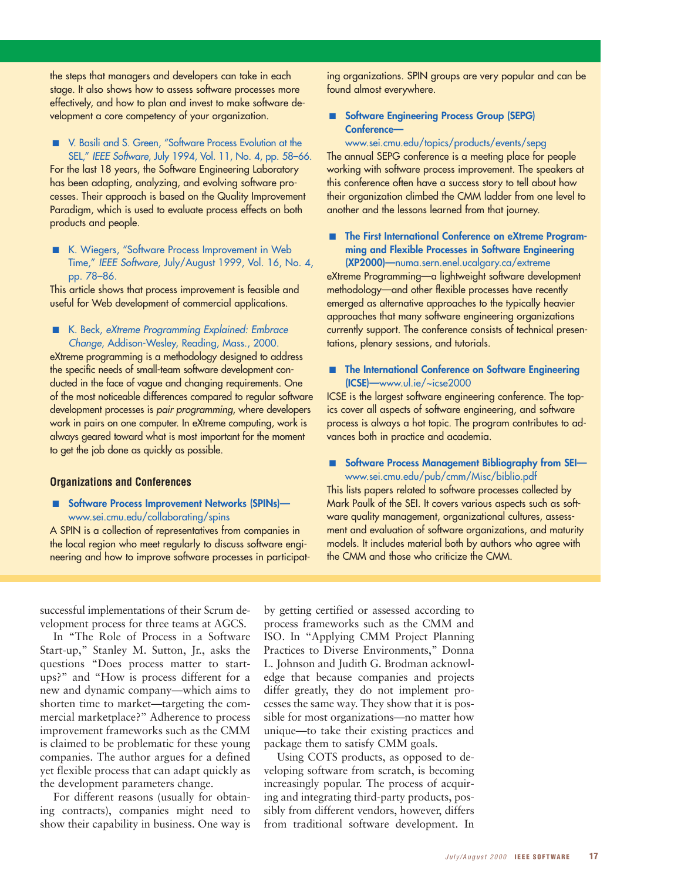the steps that managers and developers can take in each stage. It also shows how to assess software processes more effectively, and how to plan and invest to make software development a core competency of your organization.

#### ■ V. Basili and S. Green, "Software Process Evolution at the SEL," *IEEE Software*, July 1994, Vol. 11, No. 4, pp. 58–66.

For the last 18 years, the Software Engineering Laboratory has been adapting, analyzing, and evolving software processes. Their approach is based on the Quality Improvement Paradigm, which is used to evaluate process effects on both products and people.

■ K. Wiegers, "Software Process Improvement in Web Time," *IEEE Software*, July/August 1999, Vol. 16, No. 4, pp. 78–86.

This article shows that process improvement is feasible and useful for Web development of commercial applications.

■ K. Beck, *eXtreme Programming Explained: Embrace Change*, Addison-Wesley, Reading, Mass., 2000.

eXtreme programming is a methodology designed to address the specific needs of small-team software development conducted in the face of vague and changing requirements. One of the most noticeable differences compared to regular software development processes is *pair programming*, where developers work in pairs on one computer. In eXtreme computing, work is always geared toward what is most important for the moment to get the job done as quickly as possible.

#### **Organizations and Conferences**

■ **Software Process Improvement Networks (SPINs)** www.sei.cmu.edu/collaborating/spins

A SPIN is a collection of representatives from companies in the local region who meet regularly to discuss software engineering and how to improve software processes in participat-

ing organizations. SPIN groups are very popular and can be found almost everywhere.

#### ■ **Software Engineering Process Group (SEPG) Conference—**

www.sei.cmu.edu/topics/products/events/sepg The annual SEPG conference is a meeting place for people working with software process improvement. The speakers at this conference often have a success story to tell about how their organization climbed the CMM ladder from one level to another and the lessons learned from that journey.

#### ■ The First International Conference on eXtreme Program**ming and Flexible Processes in Software Engineering (XP2000)—**numa.sern.enel.ucalgary.ca/extreme

eXtreme Programming—a lightweight software development methodology—and other flexible processes have recently emerged as alternative approaches to the typically heavier approaches that many software engineering organizations currently support. The conference consists of technical presentations, plenary sessions, and tutorials.

#### ■ **The International Conference on Software Engineering (ICSE)—**www.ul.ie/~icse2000

ICSE is the largest software engineering conference. The topics cover all aspects of software engineering, and software process is always a hot topic. The program contributes to advances both in practice and academia.

#### ■ **Software Process Management Bibliography from SEI** www.sei.cmu.edu/pub/cmm/Misc/biblio.pdf

This lists papers related to software processes collected by Mark Paulk of the SEI. It covers various aspects such as software quality management, organizational cultures, assessment and evaluation of software organizations, and maturity models. It includes material both by authors who agree with the CMM and those who criticize the CMM.

successful implementations of their Scrum development process for three teams at AGCS.

In "The Role of Process in a Software Start-up," Stanley M. Sutton, Jr., asks the questions "Does process matter to startups?" and "How is process different for a new and dynamic company—which aims to shorten time to market—targeting the commercial marketplace?" Adherence to process improvement frameworks such as the CMM is claimed to be problematic for these young companies. The author argues for a defined yet flexible process that can adapt quickly as the development parameters change.

For different reasons (usually for obtaining contracts), companies might need to show their capability in business. One way is by getting certified or assessed according to process frameworks such as the CMM and ISO. In "Applying CMM Project Planning Practices to Diverse Environments," Donna L. Johnson and Judith G. Brodman acknowledge that because companies and projects differ greatly, they do not implement processes the same way. They show that it is possible for most organizations—no matter how unique—to take their existing practices and package them to satisfy CMM goals.

Using COTS products, as opposed to developing software from scratch, is becoming increasingly popular. The process of acquiring and integrating third-party products, possibly from different vendors, however, differs from traditional software development. In